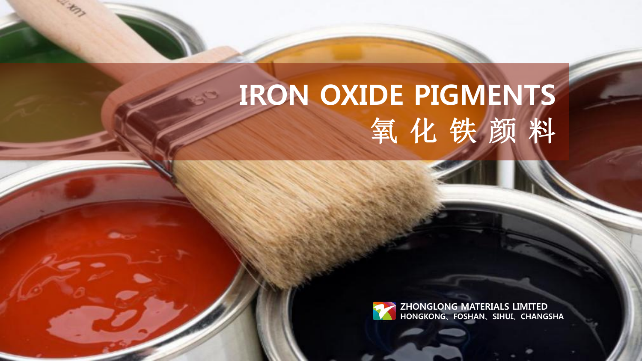## **IRON OXIDE PIGMENTS** 氧 化 铁 颜 料

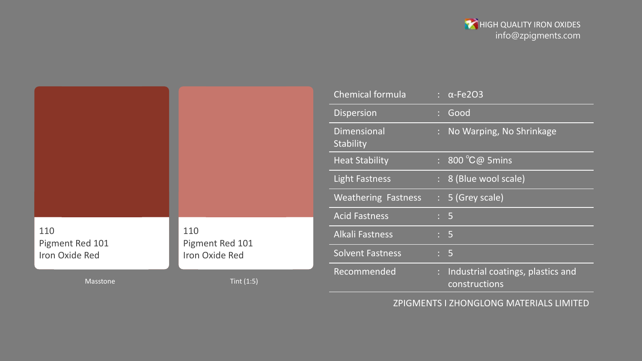|                        |                        | Chemical formula                |
|------------------------|------------------------|---------------------------------|
|                        |                        | <b>Dispersion</b>               |
|                        |                        | <b>Dimensional</b><br>Stability |
|                        |                        | <b>Heat Stability</b>           |
|                        |                        | <b>Light Fastness</b>           |
|                        |                        | <b>Weathering Fastness</b>      |
|                        |                        | <b>Acid Fastness</b>            |
| 110<br>Pigment Red 101 | 110<br>Pigment Red 101 | <b>Alkali Fastness</b>          |
| Iron Oxide Red         | Iron Oxide Red         | <b>Solvent Fastness</b>         |
| Masstone               | Tint $(1:5)$           | Recommended                     |

| <b>Chemical formula</b>         |    | $\alpha$ -Fe2O3                                      |
|---------------------------------|----|------------------------------------------------------|
| <b>Dispersion</b>               | t. | Good                                                 |
| <b>Dimensional</b><br>Stability |    | : No Warping, No Shrinkage                           |
| <b>Heat Stability</b>           |    | $\frac{1}{2}$ 800 °C@ 5 mins                         |
| <b>Light Fastness</b>           |    | : 8 (Blue wool scale)                                |
| <b>Weathering Fastness</b>      |    | $: 5$ (Grey scale)                                   |
| <b>Acid Fastness</b>            |    | $\therefore$ 5                                       |
| <b>Alkali Fastness</b>          |    | $\therefore$ 5                                       |
| <b>Solvent Fastness</b>         |    | $\therefore$ 5                                       |
| Recommended                     |    | : Industrial coatings, plastics and<br>constructions |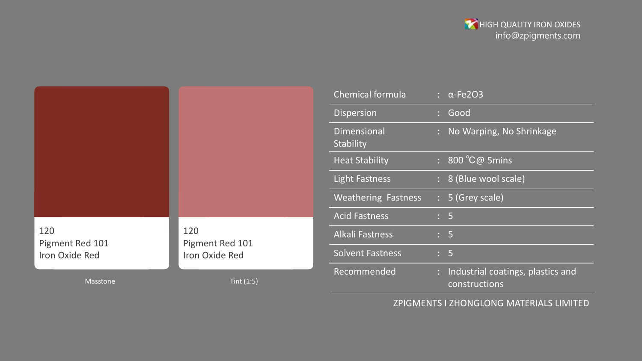|                                   |                                   | Chemical formula           | $\therefore \alpha$ -Fe2O3                           |
|-----------------------------------|-----------------------------------|----------------------------|------------------------------------------------------|
|                                   |                                   | <b>Dispersion</b>          | : Good                                               |
|                                   |                                   | Dimensional<br>Stability   | : No Warping, No Shrinkage                           |
|                                   |                                   | <b>Heat Stability</b>      | $\therefore$ 800 °C@ 5mins                           |
|                                   |                                   | <b>Light Fastness</b>      | : 8 (Blue wool scale)                                |
|                                   |                                   | <b>Weathering Fastness</b> | $\therefore$ 5 (Grey scale)                          |
|                                   |                                   | <b>Acid Fastness</b>       | $\therefore$ 5                                       |
| 120                               | 120                               | <b>Alkali Fastness</b>     | $\therefore$ 5                                       |
| Pigment Red 101<br>Iron Oxide Red | Pigment Red 101<br>Iron Oxide Red | <b>Solvent Fastness</b>    | $\therefore$ 5                                       |
| Masstone                          | Tint $(1:5)$                      | Recommended                | : Industrial coatings, plastics and<br>constructions |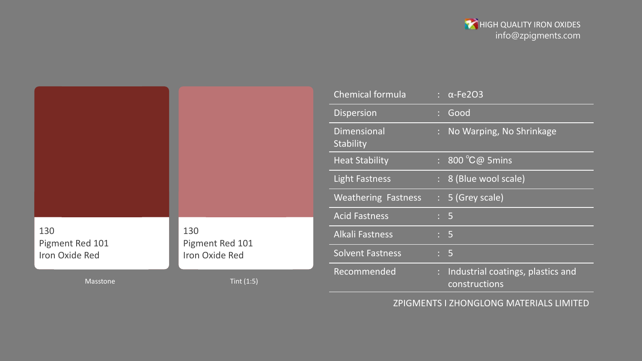|                        |                        | <b>Chemical formula</b>    |    | $\alpha$ -Fe2O3                                    |
|------------------------|------------------------|----------------------------|----|----------------------------------------------------|
|                        |                        | <b>Dispersion</b>          |    | : Good                                             |
|                        |                        | Dimensional<br>Stability   |    | : No Warping, No Shrinkage                         |
|                        |                        | <b>Heat Stability</b>      |    | $\frac{1}{2}$ 800 °C @ 5mins                       |
|                        |                        | <b>Light Fastness</b>      |    | : 8 (Blue wool scale)                              |
|                        |                        | <b>Weathering Fastness</b> |    | : 5 (Grey scale)                                   |
|                        |                        | <b>Acid Fastness</b>       |    | $\therefore$ 5                                     |
| 130<br>Pigment Red 101 | 130<br>Pigment Red 101 | <b>Alkali Fastness</b>     |    | $\therefore$ 5                                     |
| Iron Oxide Red         | Iron Oxide Red         | <b>Solvent Fastness</b>    |    | $\therefore$ 5                                     |
| Masstone               | Tint $(1:5)$           | Recommended                | ÷. | Industrial coatings, plastics and<br>constructions |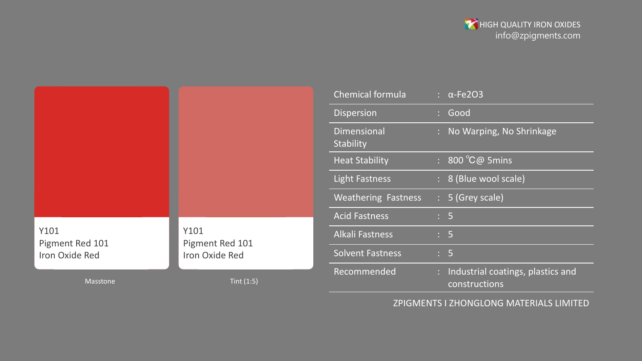|                         |                         | <b>Chemical formula</b>    | $\therefore \alpha$ -Fe2O3                           |
|-------------------------|-------------------------|----------------------------|------------------------------------------------------|
|                         |                         | Dispersion                 | : Good                                               |
|                         |                         | Dimensional<br>Stability   | : No Warping, No Shrinkage                           |
|                         |                         | <b>Heat Stability</b>      | $800^{\circ}$ C@ 5mins                               |
|                         |                         | <b>Light Fastness</b>      | : 8 (Blue wool scale)                                |
|                         |                         | <b>Weathering Fastness</b> | $\therefore$ 5 (Grey scale)                          |
|                         |                         | <b>Acid Fastness</b>       | $\therefore$ 5                                       |
| Y101<br>Pigment Red 101 | Y101<br>Pigment Red 101 | <b>Alkali Fastness</b>     | $\therefore$ 5                                       |
| Iron Oxide Red          | Iron Oxide Red          | <b>Solvent Fastness</b>    | $\therefore$ 5                                       |
| Masstone                | Tint $(1:5)$            | Recommended                | : Industrial coatings, plastics and<br>constructions |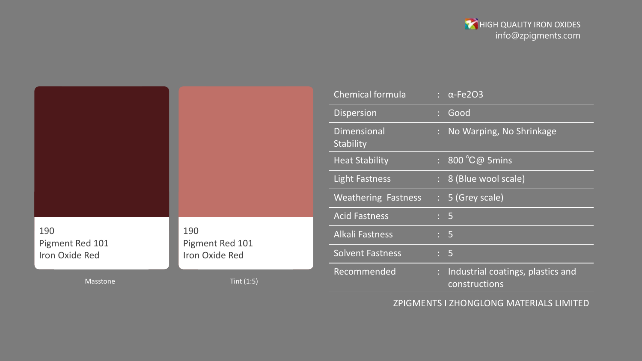|                        |                        | Chemical formula         |                | $\therefore \alpha$ -Fe2O3                           |
|------------------------|------------------------|--------------------------|----------------|------------------------------------------------------|
|                        |                        | Dispersion               |                | : Good                                               |
|                        |                        | Dimensional<br>Stability |                | : No Warping, No Shrinkage                           |
|                        |                        | <b>Heat Stability</b>    | ÷              | 800 °C@ 5mins                                        |
|                        |                        | <b>Light Fastness</b>    |                | : 8 (Blue wool scale)                                |
|                        |                        | Weathering Fastness      |                | $\therefore$ 5 (Grey scale)                          |
|                        |                        | <b>Acid Fastness</b>     | $\therefore$ 5 |                                                      |
| 190<br>Pigment Red 101 | 190<br>Pigment Red 101 | Alkali Fastness          | $\therefore$ 5 |                                                      |
| Iron Oxide Red         | Iron Oxide Red         | <b>Solvent Fastness</b>  | $\therefore$ 5 |                                                      |
| Masstone               | Tint $(1:5)$           | Recommended              |                | : Industrial coatings, plastics and<br>constructions |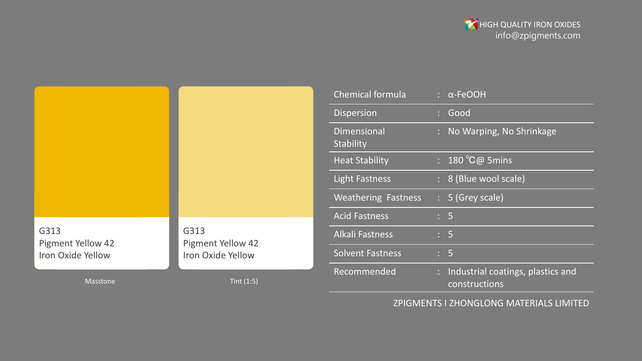|                                  |                                  | <b>Chemical form</b>            |
|----------------------------------|----------------------------------|---------------------------------|
|                                  |                                  | Dispersion                      |
|                                  |                                  | <b>Dimensional</b><br>Stability |
|                                  |                                  | <b>Heat Stability</b>           |
|                                  |                                  | <b>Light Fastness</b>           |
|                                  |                                  | <b>Weathering F</b>             |
|                                  |                                  | <b>Acid Fastness</b>            |
| G313<br><b>Pigment Yellow 42</b> | G313<br><b>Pigment Yellow 42</b> | <b>Alkali Fastness</b>          |
| Iron Oxide Yellow                | Iron Oxide Yellow                | <b>Solvent Fastne</b>           |
| Masstone                         | Tint $(1:5)$                     | Recommende                      |

| <b>Chemical formula</b>         | $\alpha$ -FeOOH                                      |
|---------------------------------|------------------------------------------------------|
| <b>Dispersion</b>               | : Good                                               |
| <b>Dimensional</b><br>Stability | : No Warping, No Shrinkage                           |
| <b>Heat Stability</b>           | : $180^{\circ}$ C@ 5mins                             |
| <b>Light Fastness</b>           | : 8 (Blue wool scale)                                |
| <b>Weathering Fastness</b>      | $: 5$ (Grey scale)                                   |
| <b>Acid Fastness</b>            | $\therefore$ 5                                       |
| <b>Alkali Fastness</b>          | $\therefore$ 5                                       |
| <b>Solvent Fastness</b>         | $\therefore$ 5                                       |
| Recommended                     | : Industrial coatings, plastics and<br>constructions |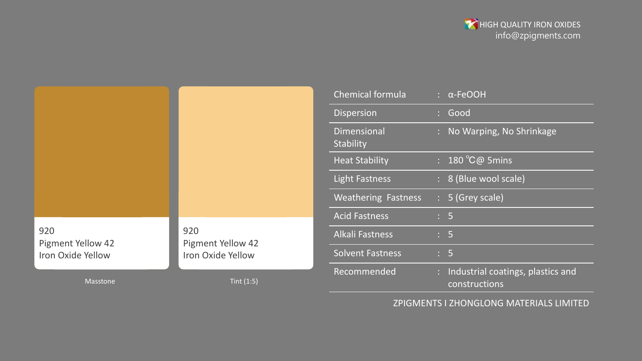|                                 |                                 | <b>Chemical form</b>            |
|---------------------------------|---------------------------------|---------------------------------|
|                                 |                                 | <b>Dispersion</b>               |
|                                 |                                 | <b>Dimensional</b><br>Stability |
|                                 |                                 | <b>Heat Stability</b>           |
|                                 |                                 | <b>Light Fastness</b>           |
|                                 |                                 | <b>Weathering F</b>             |
|                                 |                                 | <b>Acid Fastness</b>            |
| 920<br><b>Pigment Yellow 42</b> | 920<br><b>Pigment Yellow 42</b> | <b>Alkali Fastness</b>          |
| Iron Oxide Yellow               | Iron Oxide Yellow               | <b>Solvent Fastne</b>           |
| <b>Masstone</b>                 | Tint (1:5)                      | Recommende                      |

| <b>Chemical formula</b>         | $\therefore$ $\alpha$ -FeOOH                         |
|---------------------------------|------------------------------------------------------|
| <b>Dispersion</b>               | Good                                                 |
| <b>Dimensional</b><br>Stability | : No Warping, No Shrinkage                           |
| <b>Heat Stability</b>           | : $180^{\circ}$ C@ 5mins                             |
| <b>Light Fastness</b>           | : 8 (Blue wool scale)                                |
| <b>Weathering Fastness</b>      | : 5 (Grey scale)                                     |
| <b>Acid Fastness</b>            | $\therefore$ 5                                       |
| <b>Alkali Fastness</b>          | $\therefore$ 5                                       |
| <b>Solvent Fastness</b>         | $\therefore$ 5                                       |
| Recommended                     | : Industrial coatings, plastics and<br>constructions |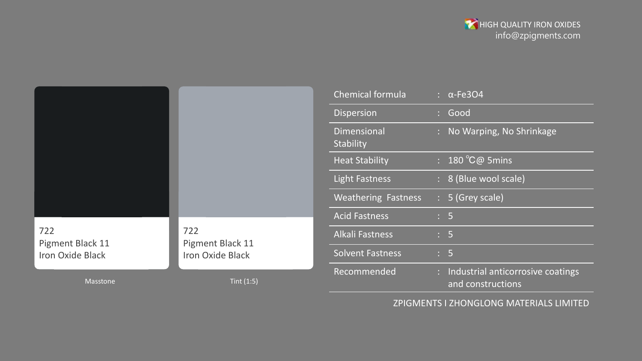|                                             |                                             | Che              |
|---------------------------------------------|---------------------------------------------|------------------|
|                                             |                                             | Disp             |
|                                             |                                             | Dim<br>Stab      |
|                                             |                                             | Hea <sup>-</sup> |
|                                             |                                             | Light            |
|                                             |                                             | Wea              |
|                                             |                                             | Acid             |
| 722                                         | 722                                         | Alka             |
| Pigment Black 11<br><b>Iron Oxide Black</b> | Pigment Black 11<br><b>Iron Oxide Black</b> | Solv             |
| Masstone                                    | Tint $(1:5)$                                | Reco             |

| <b>Chemical formula</b>         | $\alpha$ -Fe3O4                                          |
|---------------------------------|----------------------------------------------------------|
| <b>Dispersion</b>               | Good                                                     |
| <b>Dimensional</b><br>Stability | : No Warping, No Shrinkage                               |
| <b>Heat Stability</b>           | : $180^{\circ}$ C@ 5mins                                 |
| <b>Light Fastness</b>           | : 8 (Blue wool scale)                                    |
| <b>Weathering Fastness</b>      | : 5 (Grey scale)                                         |
| <b>Acid Fastness</b>            | $\therefore$ 5                                           |
| <b>Alkali Fastness</b>          | $\therefore$ 5                                           |
| <b>Solvent Fastness</b>         | $\therefore$ 5                                           |
| Recommended                     | : Industrial anticorrosive coatings<br>and constructions |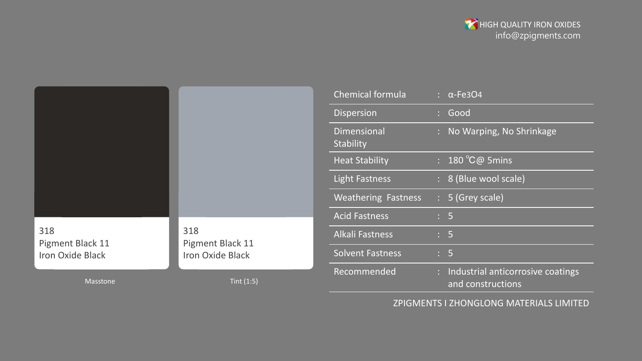|                                             |                                             | Che         |
|---------------------------------------------|---------------------------------------------|-------------|
|                                             |                                             | Disp        |
|                                             |                                             | Dim<br>Stab |
|                                             |                                             | <b>Hea</b>  |
|                                             |                                             | Light       |
|                                             |                                             | Wea         |
|                                             |                                             | Acid        |
| 318                                         | 318                                         | Alka        |
| Pigment Black 11<br><b>Iron Oxide Black</b> | Pigment Black 11<br><b>Iron Oxide Black</b> | Solv        |
| Masstone                                    | Tint $(1:5)$                                | Reco        |

| <b>Chemical formula</b>         | $\alpha$ -Fe3O4                                          |
|---------------------------------|----------------------------------------------------------|
| <b>Dispersion</b>               | Good                                                     |
| <b>Dimensional</b><br>Stability | : No Warping, No Shrinkage                               |
| <b>Heat Stability</b>           | : $180^{\circ}$ C@ 5mins                                 |
| <b>Light Fastness</b>           | : 8 (Blue wool scale)                                    |
| <b>Weathering Fastness</b>      | $: 5$ (Grey scale)                                       |
| <b>Acid Fastness</b>            | $\therefore$ 5                                           |
| <b>Alkali Fastness</b>          | $\therefore$ 5                                           |
| <b>Solvent Fastness</b>         | $\therefore$ 5                                           |
| Recommended                     | : Industrial anticorrosive coatings<br>and constructions |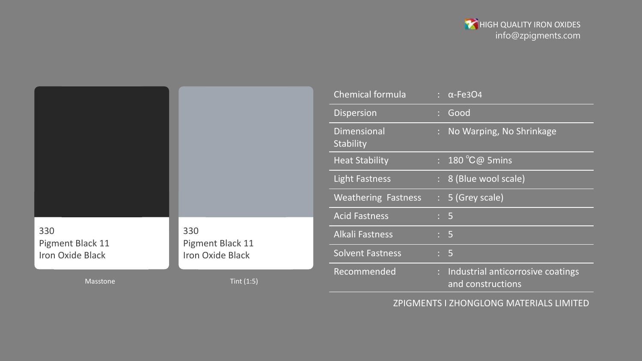|                         |                         | Che              |
|-------------------------|-------------------------|------------------|
|                         |                         | Disp             |
|                         |                         | Dim<br>Stab      |
|                         |                         | Hea <sup>-</sup> |
|                         |                         | Light            |
|                         |                         | Wea              |
|                         |                         | Acid             |
| 330<br>Pigment Black 11 | 330<br>Pigment Black 11 | Alka             |
| Iron Oxide Black        | Iron Oxide Black        | Solv             |
| Masstone                | Tint $(1:5)$            | Reco             |

| <b>Chemical formula</b>         | $\alpha$ -Fe3O4                                          |
|---------------------------------|----------------------------------------------------------|
| <b>Dispersion</b>               | Good                                                     |
| <b>Dimensional</b><br>Stability | : No Warping, No Shrinkage                               |
| <b>Heat Stability</b>           | : $180^{\circ}$ C@ 5mins                                 |
| <b>Light Fastness</b>           | : 8 (Blue wool scale)                                    |
| <b>Weathering Fastness</b>      | $\frac{1}{2}$ 5 (Grey scale)                             |
| <b>Acid Fastness</b>            | $\therefore$ 5                                           |
| <b>Alkali Fastness</b>          | $\therefore$ 5                                           |
| <b>Solvent Fastness</b>         | $\therefore$ 5                                           |
| Recommended                     | : Industrial anticorrosive coatings<br>and constructions |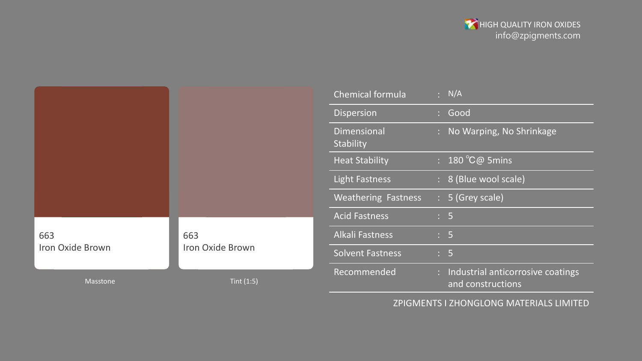|                                                           |                         | Chemical formula                | $\therefore$ N/A                                         |
|-----------------------------------------------------------|-------------------------|---------------------------------|----------------------------------------------------------|
|                                                           |                         | Dispersion                      | : Good                                                   |
|                                                           |                         | <b>Dimensional</b><br>Stability | : No Warping, No Shrinkage                               |
|                                                           |                         | <b>Heat Stability</b>           | : $180^{\circ}$ C@ 5mins                                 |
|                                                           |                         | <b>Light Fastness</b>           | : 8 (Blue wool scale)                                    |
|                                                           |                         | <b>Weathering Fastness</b>      | $\therefore$ 5 (Grey scale)                              |
|                                                           |                         | <b>Acid Fastness</b>            | $\therefore$ 5                                           |
| 663<br>663<br><b>Iron Oxide Brown</b><br>Iron Oxide Brown |                         | <b>Alkali Fastness</b>          | $\therefore$ 5                                           |
|                                                           | <b>Solvent Fastness</b> | $\therefore$ 5                  |                                                          |
| Masstone                                                  | Tint $(1:5)$            | Recommended                     | : Industrial anticorrosive coatings<br>and constructions |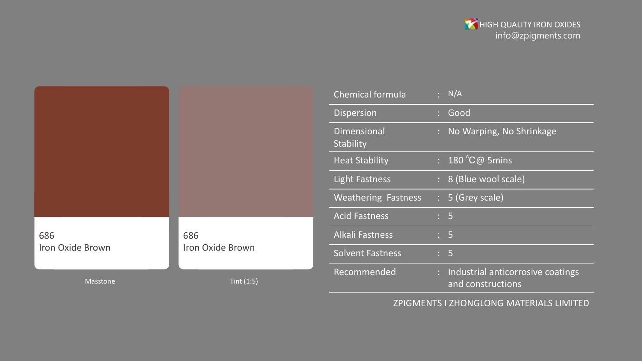|                         |                         | Chemical formula                | $\therefore$ N/A                                         |
|-------------------------|-------------------------|---------------------------------|----------------------------------------------------------|
|                         |                         | Dispersion                      | : Good                                                   |
|                         |                         | <b>Dimensional</b><br>Stability | : No Warping, No Shrinkage                               |
|                         |                         | <b>Heat Stability</b>           | $\frac{1}{2}$ 180 °C@ 5mins                              |
|                         |                         | Light Fastness                  | : 8 (Blue wool scale)                                    |
|                         |                         | <b>Weathering Fastness</b>      | : 5 (Grey scale)                                         |
|                         |                         | <b>Acid Fastness</b>            | $\therefore$ 5                                           |
| 686                     | 686<br>Iron Oxide Brown | <b>Alkali Fastness</b>          | $\therefore$ 5                                           |
| <b>Iron Oxide Brown</b> |                         | <b>Solvent Fastness</b>         | $\therefore$ 5                                           |
| Masstone                | Tint $(1:5)$            | Recommended                     | : Industrial anticorrosive coatings<br>and constructions |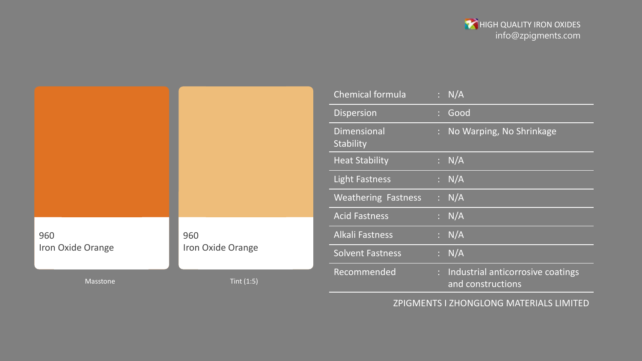|                          |                          | Chemical formula           | $\therefore$ N/A                                         |
|--------------------------|--------------------------|----------------------------|----------------------------------------------------------|
|                          |                          | Dispersion                 | : Good                                                   |
|                          |                          | Dimensional<br>Stability   | : No Warping, No Shrinkage                               |
|                          |                          | <b>Heat Stability</b>      | : N/A                                                    |
|                          |                          | <b>Light Fastness</b>      | : N/A                                                    |
|                          |                          | <b>Weathering Fastness</b> | $\therefore$ N/A                                         |
|                          |                          | <b>Acid Fastness</b>       | $\therefore$ N/A                                         |
| 960                      | 960                      | <b>Alkali Fastness</b>     | $\therefore$ N/A                                         |
| <b>Iron Oxide Orange</b> | <b>Iron Oxide Orange</b> | <b>Solvent Fastness</b>    | $\therefore$ N/A                                         |
| Masstone                 | Tint $(1:5)$             | Recommended                | : Industrial anticorrosive coatings<br>and constructions |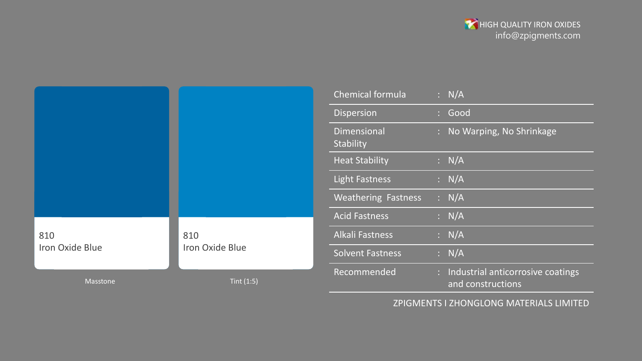|                 |                 | Chemical formula<br>$\therefore$ N/A                                    |
|-----------------|-----------------|-------------------------------------------------------------------------|
|                 |                 | Dispersion<br>: Good                                                    |
|                 |                 | : No Warping, No Shrinkage<br>Dimensional<br>Stability                  |
|                 |                 | <b>Heat Stability</b><br>$\therefore$ N/A                               |
|                 |                 | : N/A<br><b>Light Fastness</b>                                          |
|                 |                 | <b>Weathering Fastness</b><br>$\therefore$ N/A                          |
|                 |                 | $\therefore$ N/A<br><b>Acid Fastness</b>                                |
| 810             | 810             | : N/A<br><b>Alkali Fastness</b>                                         |
| Iron Oxide Blue | Iron Oxide Blue | $\therefore$ N/A<br>Solvent Fastness                                    |
| Masstone        | Tint $(1:5)$    | Recommended<br>: Industrial anticorrosive coatings<br>and constructions |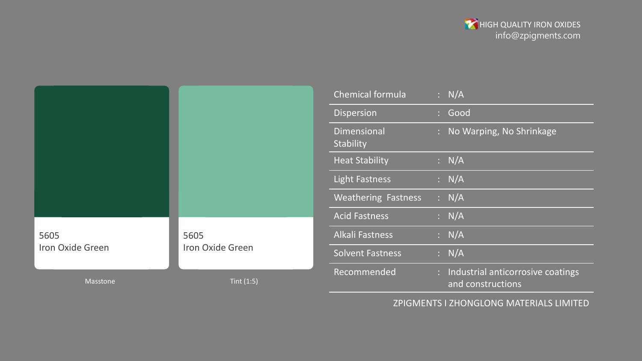|                  |                          | Chemical formula         | $\therefore$ N/A                                         |       |
|------------------|--------------------------|--------------------------|----------------------------------------------------------|-------|
|                  |                          | Dispersion               | : Good                                                   |       |
|                  |                          | Dimensional<br>Stability | : No Warping, No Shrinkage                               |       |
|                  |                          | <b>Heat Stability</b>    | : N/A                                                    |       |
|                  |                          |                          | <b>Light Fastness</b>                                    | : N/A |
|                  |                          | Weathering Fastness      | $\therefore$ N/A                                         |       |
|                  |                          | <b>Acid Fastness</b>     | : N/A                                                    |       |
| 5605             | 5605<br>Iron Oxide Green | <b>Alkali Fastness</b>   | : N/A                                                    |       |
| Iron Oxide Green |                          | <b>Solvent Fastness</b>  | $\therefore$ N/A                                         |       |
| Masstone         | Tint $(1:5)$             | Recommended              | : Industrial anticorrosive coatings<br>and constructions |       |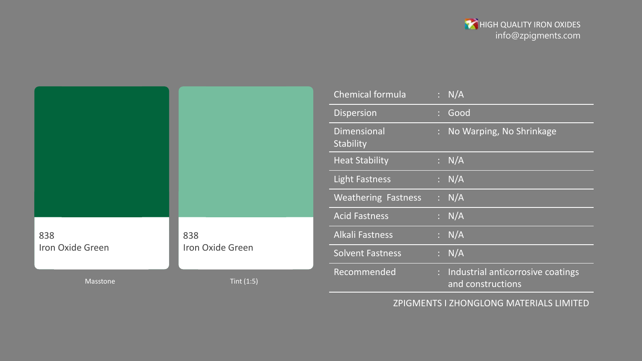|                         |                         | Chemical formula           | : N/A                                                    |
|-------------------------|-------------------------|----------------------------|----------------------------------------------------------|
|                         |                         | Dispersion                 | : Good                                                   |
|                         |                         | Dimensional<br>Stability   | : No Warping, No Shrinkage                               |
|                         |                         | <b>Heat Stability</b>      | : N/A                                                    |
|                         |                         | <b>Light Fastness</b>      | : N/A                                                    |
|                         |                         | <b>Weathering Fastness</b> | $\therefore$ N/A                                         |
|                         |                         | <b>Acid Fastness</b>       | : N/A                                                    |
| 838                     | 838<br>Iron Oxide Green | <b>Alkali Fastness</b>     | : N/A                                                    |
| <b>Iron Oxide Green</b> |                         | <b>Solvent Fastness</b>    | $\therefore$ N/A                                         |
| Masstone                | Tint $(1:5)$            | Recommended                | : Industrial anticorrosive coatings<br>and constructions |